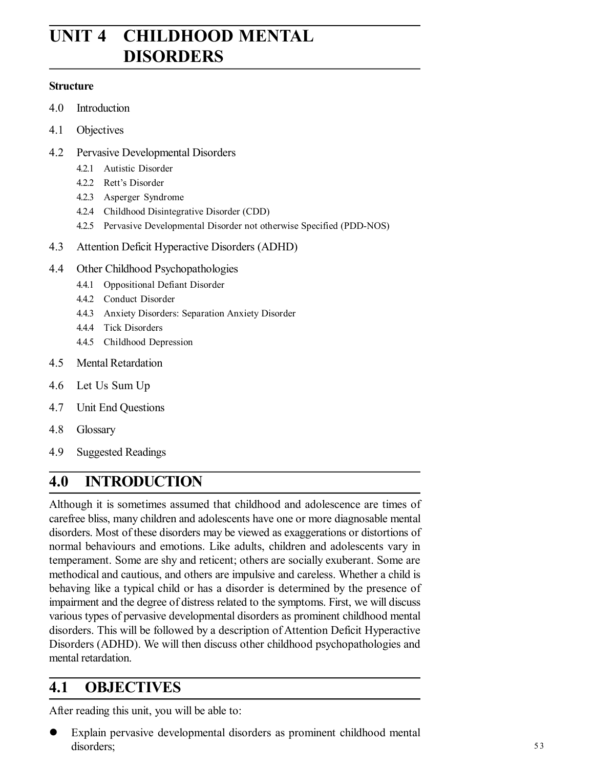# **UNIT 4 CHILDHOOD MENTAL DISORDERS**

#### **Structure**

- 4.0 Introduction
- 4.1 Objectives
- 4.2 Pervasive Developmental Disorders
	- 4.2.1 Autistic Disorder
	- 4.2.2 Rett's Disorder
	- 4.2.3 Asperger Syndrome
	- 4.2.4 Childhood Disintegrative Disorder (CDD)
	- 4.2.5 Pervasive Developmental Disorder not otherwise Specified (PDD-NOS)
- 4.3 Attention Deficit Hyperactive Disorders (ADHD)
- 4.4 Other Childhood Psychopathologies
	- 4.4.1 Oppositional Defiant Disorder
	- 4.4.2 Conduct Disorder
	- 4.4.3 Anxiety Disorders: Separation Anxiety Disorder
	- 4.4.4 Tick Disorders
	- 4.4.5 Childhood Depression
- 4.5 Mental Retardation
- 4.6 Let Us Sum Up
- 4.7 Unit End Questions
- 4.8 Glossary
- 4.9 Suggested Readings

## **4.0 INTRODUCTION**

Although it is sometimes assumed that childhood and adolescence are times of carefree bliss, many children and adolescents have one or more diagnosable mental disorders. Most of these disorders may be viewed as exaggerations or distortions of normal behaviours and emotions. Like adults, children and adolescents vary in temperament. Some are shy and reticent; others are socially exuberant. Some are methodical and cautious, and others are impulsive and careless. Whether a child is behaving like a typical child or has a disorder is determined by the presence of impairment and the degree of distress related to the symptoms. First, we will discuss various types of pervasive developmental disorders as prominent childhood mental disorders. This will be followed by a description of Attention Deficit Hyperactive Disorders (ADHD). We will then discuss other childhood psychopathologies and mental retardation.

## **4.1 OBJECTIVES**

After reading this unit, you will be able to:

 Explain pervasive developmental disorders as prominent childhood mental disorders;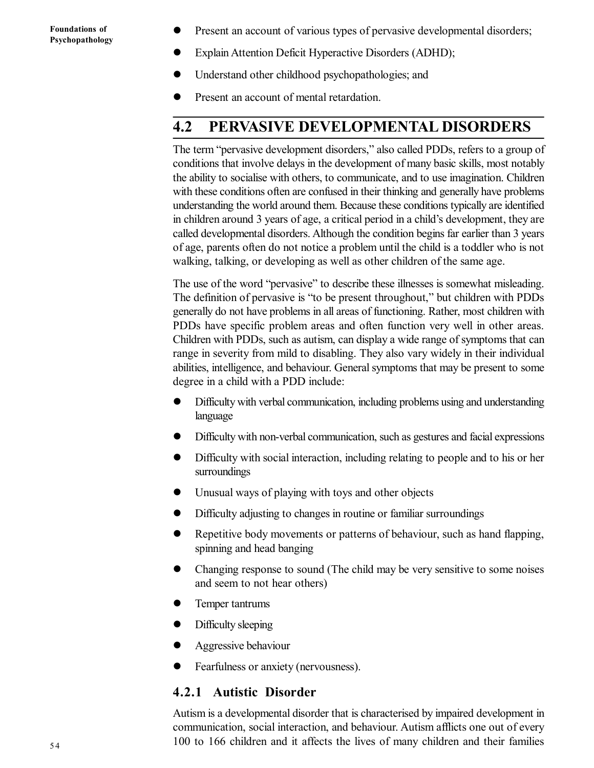- Present an account of various types of pervasive developmental disorders;
- Explain Attention Deficit Hyperactive Disorders (ADHD);
- Understand other childhood psychopathologies; and
- Present an account of mental retardation.

## **4.2 PERVASIVE DEVELOPMENTAL DISORDERS**

The term "pervasive development disorders," also called PDDs, refers to a group of conditions that involve delays in the development of many basic skills, most notably the ability to socialise with others, to communicate, and to use imagination. Children with these conditions often are confused in their thinking and generally have problems understanding the world around them. Because these conditions typically are identified in children around 3 years of age, a critical period in a child's development, they are called developmental disorders. Although the condition begins far earlier than 3 years of age, parents often do not notice a problem until the child is a toddler who is not walking, talking, or developing as well as other children of the same age.

The use of the word "pervasive" to describe these illnesses is somewhat misleading. The definition of pervasive is "to be present throughout," but children with PDDs generally do not have problems in all areas of functioning. Rather, most children with PDDs have specific problem areas and often function very well in other areas. Children with PDDs, such as autism, can display a wide range of symptoms that can range in severity from mild to disabling. They also vary widely in their individual abilities, intelligence, and behaviour. General symptoms that may be present to some degree in a child with a PDD include:

- Difficulty with verbal communication, including problems using and understanding language
- Difficulty with non-verbal communication, such as gestures and facial expressions
- Difficulty with social interaction, including relating to people and to his or her surroundings
- Unusual ways of playing with toys and other objects
- Difficulty adjusting to changes in routine or familiar surroundings
- Repetitive body movements or patterns of behaviour, such as hand flapping, spinning and head banging
- Changing response to sound (The child may be very sensitive to some noises and seem to not hear others)
- Temper tantrums
- Difficulty sleeping
- **•** Aggressive behaviour
- **•** Fearfulness or anxiety (nervousness).

### **4.2.1 Autistic Disorder**

Autism is a developmental disorder that is characterised by impaired development in communication, social interaction, and behaviour. Autism afflicts one out of every 100 to 166 children and it affects the lives of many children and their families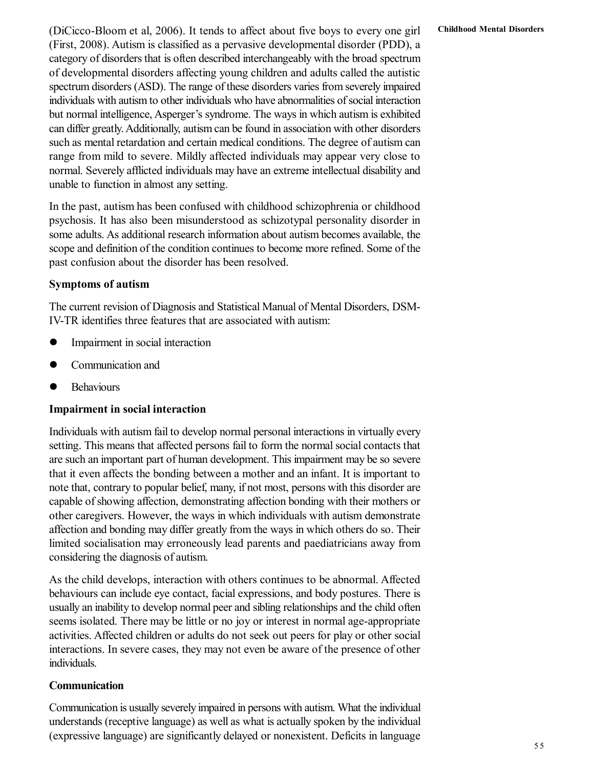(DiCicco-Bloom et al, 2006). It tends to affect about five boys to every one girl (First, 2008). Autism is classified as a pervasive developmental disorder (PDD), a category of disorders that is often described interchangeably with the broad spectrum of developmental disorders affecting young children and adults called the autistic spectrum disorders (ASD). The range of these disorders varies from severely impaired individuals with autism to other individuals who have abnormalities of social interaction but normal intelligence, Asperger's syndrome. The ways in which autism is exhibited can differ greatly. Additionally, autism can be found in association with other disorders such as mental retardation and certain medical conditions. The degree of autism can range from mild to severe. Mildly affected individuals may appear very close to normal. Severely afflicted individuals may have an extreme intellectual disability and unable to function in almost any setting.

In the past, autism has been confused with childhood schizophrenia or childhood psychosis. It has also been misunderstood as schizotypal personality disorder in some adults. As additional research information about autism becomes available, the scope and definition of the condition continues to become more refined. Some of the past confusion about the disorder has been resolved.

#### **Symptoms of autism**

The current revision of Diagnosis and Statistical Manual of Mental Disorders, DSM-IV-TR identifies three features that are associated with autism:

- Impairment in social interaction
- Communication and
- Behaviours

### **Impairment in social interaction**

Individuals with autism fail to develop normal personal interactions in virtually every setting. This means that affected persons fail to form the normal social contacts that are such an important part of human development. This impairment may be so severe that it even affects the bonding between a mother and an infant. It is important to note that, contrary to popular belief, many, if not most, persons with this disorder are capable of showing affection, demonstrating affection bonding with their mothers or other caregivers. However, the ways in which individuals with autism demonstrate affection and bonding may differ greatly from the ways in which others do so. Their limited socialisation may erroneously lead parents and paediatricians away from considering the diagnosis of autism.

As the child develops, interaction with others continues to be abnormal. Affected behaviours can include eye contact, facial expressions, and body postures. There is usually an inability to develop normal peer and sibling relationships and the child often seems isolated. There may be little or no joy or interest in normal age-appropriate activities. Affected children or adults do not seek out peers for play or other social interactions. In severe cases, they may not even be aware of the presence of other individuals.

### **Communication**

Communication is usually severely impaired in persons with autism. What the individual understands (receptive language) as well as what is actually spoken by the individual (expressive language) are significantly delayed or nonexistent. Deficits in language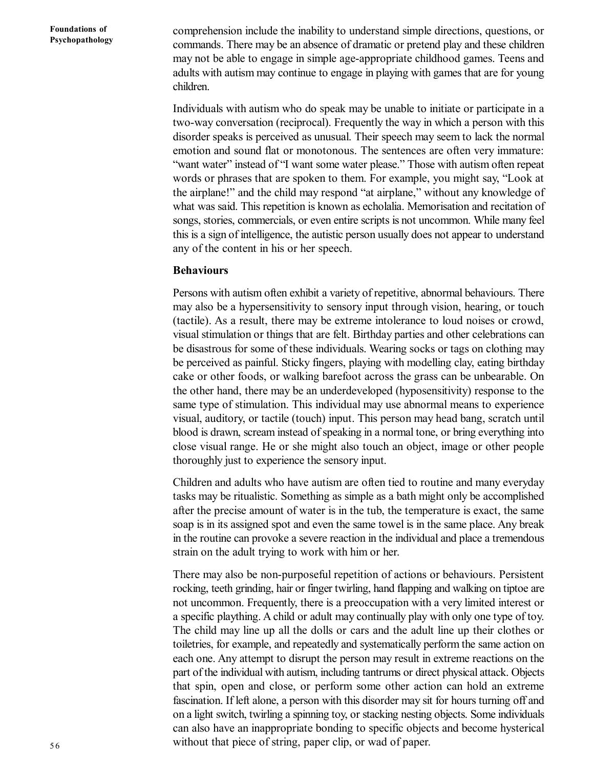comprehension include the inability to understand simple directions, questions, or commands. There may be an absence of dramatic or pretend play and these children may not be able to engage in simple age-appropriate childhood games. Teens and adults with autism may continue to engage in playing with games that are for young children.

Individuals with autism who do speak may be unable to initiate or participate in a two-way conversation (reciprocal). Frequently the way in which a person with this disorder speaks is perceived as unusual. Their speech may seem to lack the normal emotion and sound flat or monotonous. The sentences are often very immature: "want water" instead of "I want some water please." Those with autism often repeat words or phrases that are spoken to them. For example, you might say, "Look at the airplane!" and the child may respond "at airplane," without any knowledge of what was said. This repetition is known as echolalia. Memorisation and recitation of songs, stories, commercials, or even entire scripts is not uncommon. While many feel this is a sign of intelligence, the autistic person usually does not appear to understand any of the content in his or her speech.

#### **Behaviours**

Persons with autism often exhibit a variety of repetitive, abnormal behaviours. There may also be a hypersensitivity to sensory input through vision, hearing, or touch (tactile). As a result, there may be extreme intolerance to loud noises or crowd, visual stimulation or things that are felt. Birthday parties and other celebrations can be disastrous for some of these individuals. Wearing socks or tags on clothing may be perceived as painful. Sticky fingers, playing with modelling clay, eating birthday cake or other foods, or walking barefoot across the grass can be unbearable. On the other hand, there may be an underdeveloped (hyposensitivity) response to the same type of stimulation. This individual may use abnormal means to experience visual, auditory, or tactile (touch) input. This person may head bang, scratch until blood is drawn, scream instead of speaking in a normal tone, or bring everything into close visual range. He or she might also touch an object, image or other people thoroughly just to experience the sensory input.

Children and adults who have autism are often tied to routine and many everyday tasks may be ritualistic. Something as simple as a bath might only be accomplished after the precise amount of water is in the tub, the temperature is exact, the same soap is in its assigned spot and even the same towel is in the same place. Any break in the routine can provoke a severe reaction in the individual and place a tremendous strain on the adult trying to work with him or her.

There may also be non-purposeful repetition of actions or behaviours. Persistent rocking, teeth grinding, hair or finger twirling, hand flapping and walking on tiptoe are not uncommon. Frequently, there is a preoccupation with a very limited interest or a specific plaything. A child or adult may continually play with only one type of toy. The child may line up all the dolls or cars and the adult line up their clothes or toiletries, for example, and repeatedly and systematically perform the same action on each one. Any attempt to disrupt the person may result in extreme reactions on the part of the individual with autism, including tantrums or direct physical attack. Objects that spin, open and close, or perform some other action can hold an extreme fascination. If left alone, a person with this disorder may sit for hours turning off and on a light switch, twirling a spinning toy, or stacking nesting objects. Some individuals can also have an inappropriate bonding to specific objects and become hysterical without that piece of string, paper clip, or wad of paper.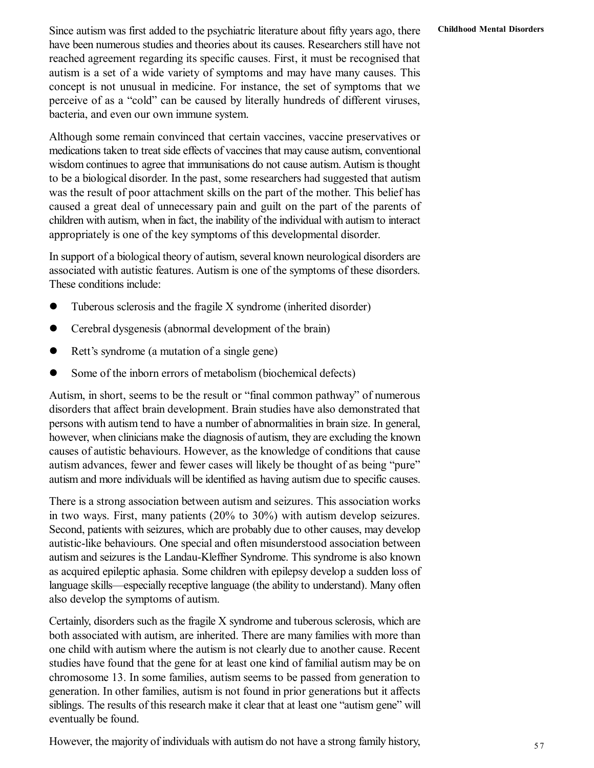Since autism was first added to the psychiatric literature about fifty years ago, there have been numerous studies and theories about its causes. Researchers still have not reached agreement regarding its specific causes. First, it must be recognised that autism is a set of a wide variety of symptoms and may have many causes. This concept is not unusual in medicine. For instance, the set of symptoms that we perceive of as a "cold" can be caused by literally hundreds of different viruses, bacteria, and even our own immune system.

Although some remain convinced that certain vaccines, vaccine preservatives or medications taken to treat side effects of vaccines that may cause autism, conventional wisdom continues to agree that immunisations do not cause autism. Autism is thought to be a biological disorder. In the past, some researchers had suggested that autism was the result of poor attachment skills on the part of the mother. This belief has caused a great deal of unnecessary pain and guilt on the part of the parents of children with autism, when in fact, the inability of the individual with autism to interact appropriately is one of the key symptoms of this developmental disorder.

In support of a biological theory of autism, several known neurological disorders are associated with autistic features. Autism is one of the symptoms of these disorders. These conditions include:

- Tuberous sclerosis and the fragile X syndrome (inherited disorder)
- Cerebral dysgenesis (abnormal development of the brain)
- Rett's syndrome (a mutation of a single gene)
- Some of the inborn errors of metabolism (biochemical defects)

Autism, in short, seems to be the result or "final common pathway" of numerous disorders that affect brain development. Brain studies have also demonstrated that persons with autism tend to have a number of abnormalities in brain size. In general, however, when clinicians make the diagnosis of autism, they are excluding the known causes of autistic behaviours. However, as the knowledge of conditions that cause autism advances, fewer and fewer cases will likely be thought of as being "pure" autism and more individuals will be identified as having autism due to specific causes.

There is a strong association between autism and seizures. This association works in two ways. First, many patients (20% to 30%) with autism develop seizures. Second, patients with seizures, which are probably due to other causes, may develop autistic-like behaviours. One special and often misunderstood association between autism and seizures is the Landau-Kleffner Syndrome. This syndrome is also known as acquired epileptic aphasia. Some children with epilepsy develop a sudden loss of language skills—especially receptive language (the ability to understand). Many often also develop the symptoms of autism.

Certainly, disorders such as the fragile X syndrome and tuberous sclerosis, which are both associated with autism, are inherited. There are many families with more than one child with autism where the autism is not clearly due to another cause. Recent studies have found that the gene for at least one kind of familial autism may be on chromosome 13. In some families, autism seems to be passed from generation to generation. In other families, autism is not found in prior generations but it affects siblings. The results of this research make it clear that at least one "autism gene" will eventually be found.

However, the majority of individuals with autism do not have a strong family history,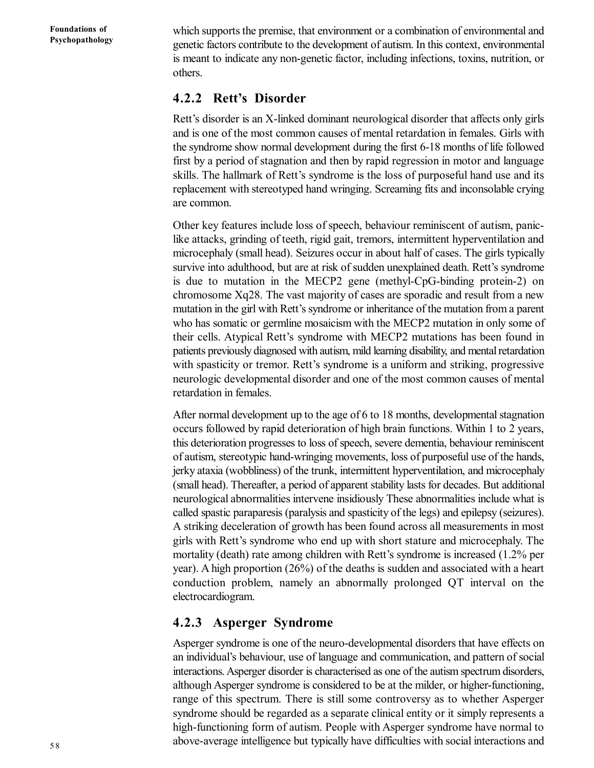which supports the premise, that environment or a combination of environmental and genetic factors contribute to the development of autism. In this context, environmental is meant to indicate any non-genetic factor, including infections, toxins, nutrition, or others.

### **4.2.2 Rett's Disorder**

Rett's disorder is an X-linked dominant neurological disorder that affects only girls and is one of the most common causes of mental retardation in females. Girls with the syndrome show normal development during the first 6-18 months of life followed first by a period of stagnation and then by rapid regression in motor and language skills. The hallmark of Rett's syndrome is the loss of purposeful hand use and its replacement with stereotyped hand wringing. Screaming fits and inconsolable crying are common.

Other key features include loss of speech, behaviour reminiscent of autism, paniclike attacks, grinding of teeth, rigid gait, tremors, intermittent hyperventilation and microcephaly (small head). Seizures occur in about half of cases. The girls typically survive into adulthood, but are at risk of sudden unexplained death. Rett's syndrome is due to mutation in the MECP2 gene (methyl-CpG-binding protein-2) on chromosome Xq28. The vast majority of cases are sporadic and result from a new mutation in the girl with Rett's syndrome or inheritance of the mutation from a parent who has somatic or germline mosaicism with the MECP2 mutation in only some of their cells. Atypical Rett's syndrome with MECP2 mutations has been found in patients previously diagnosed with autism, mild learning disability, and mental retardation with spasticity or tremor. Rett's syndrome is a uniform and striking, progressive neurologic developmental disorder and one of the most common causes of mental retardation in females.

After normal development up to the age of 6 to 18 months, developmental stagnation occurs followed by rapid deterioration of high brain functions. Within 1 to 2 years, this deterioration progresses to loss of speech, severe dementia, behaviour reminiscent of autism, stereotypic hand-wringing movements, loss of purposeful use of the hands, jerky ataxia (wobbliness) of the trunk, intermittent hyperventilation, and microcephaly (small head). Thereafter, a period of apparent stability lasts for decades. But additional neurological abnormalities intervene insidiously These abnormalities include what is called spastic paraparesis (paralysis and spasticity of the legs) and epilepsy (seizures). A striking deceleration of growth has been found across all measurements in most girls with Rett's syndrome who end up with short stature and microcephaly. The mortality (death) rate among children with Rett's syndrome is increased (1.2% per year). A high proportion (26%) of the deaths is sudden and associated with a heart conduction problem, namely an abnormally prolonged QT interval on the electrocardiogram.

### **4.2.3 Asperger Syndrome**

Asperger syndrome is one of the neuro-developmental disorders that have effects on an individual's behaviour, use of language and communication, and pattern of social interactions. Asperger disorder is characterised as one of the autism spectrum disorders, although Asperger syndrome is considered to be at the milder, or higher-functioning, range of this spectrum. There is still some controversy as to whether Asperger syndrome should be regarded as a separate clinical entity or it simply represents a high-functioning form of autism. People with Asperger syndrome have normal to above-average intelligence but typically have difficulties with social interactions and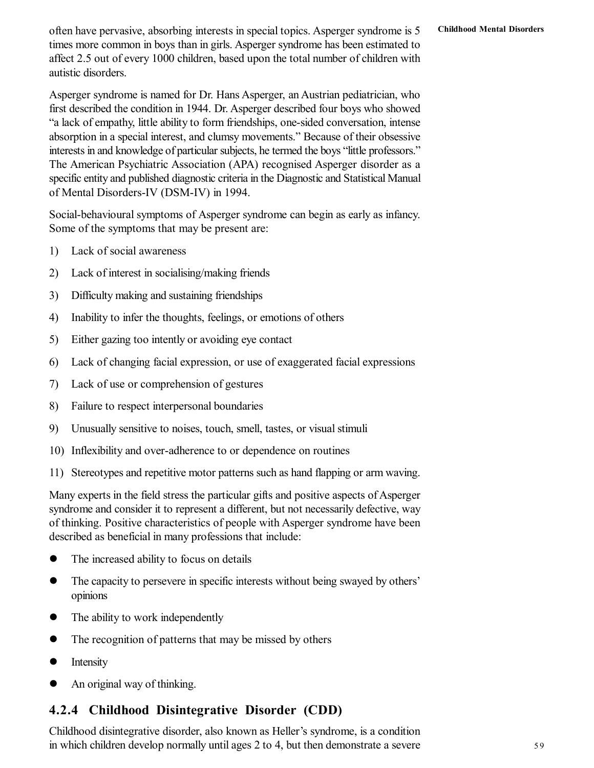often have pervasive, absorbing interests in special topics. Asperger syndrome is 5 times more common in boys than in girls. Asperger syndrome has been estimated to affect 2.5 out of every 1000 children, based upon the total number of children with autistic disorders.

Asperger syndrome is named for Dr. Hans Asperger, an Austrian pediatrician, who first described the condition in 1944. Dr. Asperger described four boys who showed "a lack of empathy, little ability to form friendships, one-sided conversation, intense absorption in a special interest, and clumsy movements." Because of their obsessive interests in and knowledge of particular subjects, he termed the boys "little professors." The American Psychiatric Association (APA) recognised Asperger disorder as a specific entity and published diagnostic criteria in the Diagnostic and Statistical Manual of Mental Disorders-IV (DSM-IV) in 1994.

Social-behavioural symptoms of Asperger syndrome can begin as early as infancy. Some of the symptoms that may be present are:

- 1) Lack of social awareness
- 2) Lack of interest in socialising/making friends
- 3) Difficulty making and sustaining friendships
- 4) Inability to infer the thoughts, feelings, or emotions of others
- 5) Either gazing too intently or avoiding eye contact
- 6) Lack of changing facial expression, or use of exaggerated facial expressions
- 7) Lack of use or comprehension of gestures
- 8) Failure to respect interpersonal boundaries
- 9) Unusually sensitive to noises, touch, smell, tastes, or visual stimuli
- 10) Inflexibility and over-adherence to or dependence on routines
- 11) Stereotypes and repetitive motor patterns such as hand flapping or arm waving.

Many experts in the field stress the particular gifts and positive aspects of Asperger syndrome and consider it to represent a different, but not necessarily defective, way of thinking. Positive characteristics of people with Asperger syndrome have been described as beneficial in many professions that include:

- The increased ability to focus on details
- The capacity to persevere in specific interests without being swayed by others' opinions
- The ability to work independently
- The recognition of patterns that may be missed by others
- **•** Intensity
- An original way of thinking.

### **4.2.4 Childhood Disintegrative Disorder (CDD)**

Childhood disintegrative disorder, also known as Heller's syndrome, is a condition in which children develop normally until ages 2 to 4, but then demonstrate a severe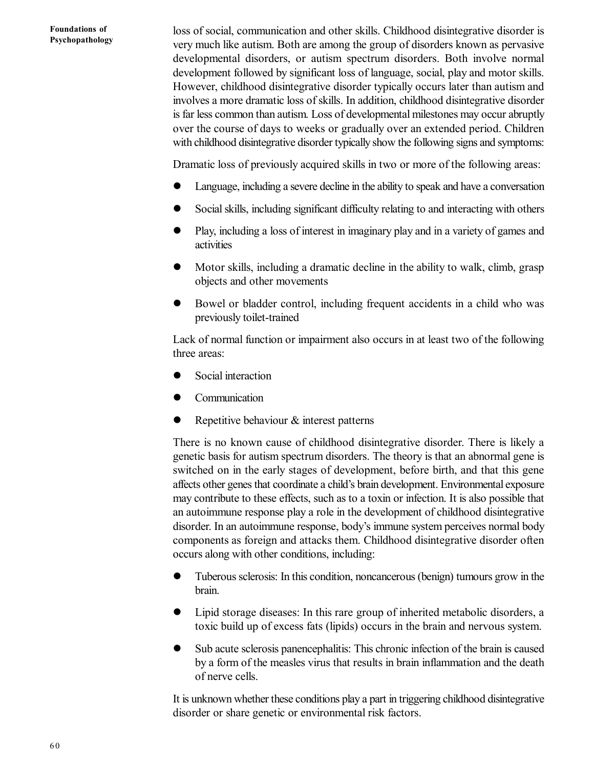**Foundations of Psychopathology** loss of social, communication and other skills. Childhood disintegrative disorder is very much like autism. Both are among the group of disorders known as pervasive developmental disorders, or autism spectrum disorders. Both involve normal development followed by significant loss of language, social, play and motor skills. However, childhood disintegrative disorder typically occurs later than autism and involves a more dramatic loss of skills. In addition, childhood disintegrative disorder is far less common than autism. Loss of developmental milestones may occur abruptly over the course of days to weeks or gradually over an extended period. Children with childhood disintegrative disorder typically show the following signs and symptoms:

Dramatic loss of previously acquired skills in two or more of the following areas:

- Language, including a severe decline in the ability to speak and have a conversation
- Social skills, including significant difficulty relating to and interacting with others
- Play, including a loss of interest in imaginary play and in a variety of games and activities
- Motor skills, including a dramatic decline in the ability to walk, climb, grasp objects and other movements
- Bowel or bladder control, including frequent accidents in a child who was previously toilet-trained

Lack of normal function or impairment also occurs in at least two of the following three areas:

- Social interaction
- Communication
- Repetitive behaviour  $\&$  interest patterns

There is no known cause of childhood disintegrative disorder. There is likely a genetic basis for autism spectrum disorders. The theory is that an abnormal gene is switched on in the early stages of development, before birth, and that this gene affects other genes that coordinate a child's brain development. Environmental exposure may contribute to these effects, such as to a toxin or infection. It is also possible that an autoimmune response play a role in the development of childhood disintegrative disorder. In an autoimmune response, body's immune system perceives normal body components as foreign and attacks them. Childhood disintegrative disorder often occurs along with other conditions, including:

- Tuberous sclerosis: In this condition, noncancerous (benign) tumours grow in the brain.
- Lipid storage diseases: In this rare group of inherited metabolic disorders, a toxic build up of excess fats (lipids) occurs in the brain and nervous system.
- Sub acute sclerosis panencephalitis: This chronic infection of the brain is caused by a form of the measles virus that results in brain inflammation and the death of nerve cells.

It is unknown whether these conditions play a part in triggering childhood disintegrative disorder or share genetic or environmental risk factors.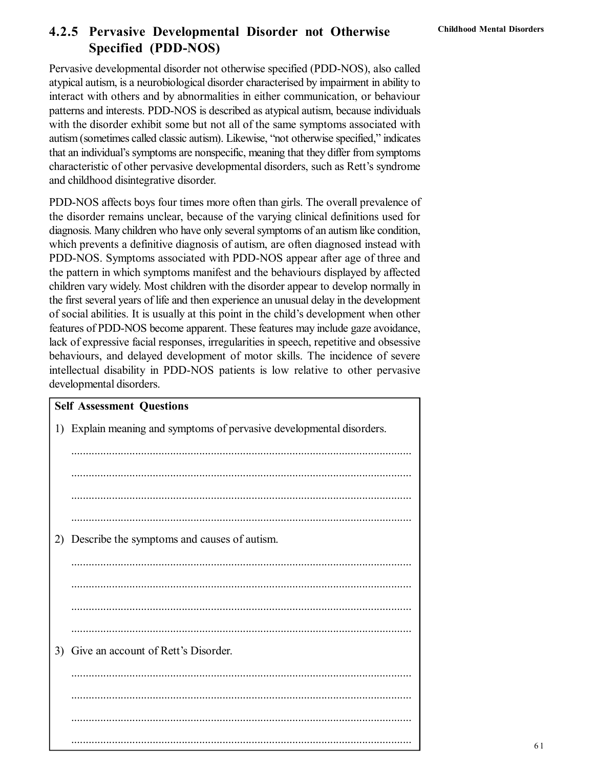### **4.2.5 Pervasive Developmental Disorder not Otherwise Specified (PDD-NOS)**

Pervasive developmental disorder not otherwise specified (PDD-NOS), also called atypical autism, is a neurobiological disorder characterised by impairment in ability to interact with others and by abnormalities in either communication, or behaviour patterns and interests. PDD-NOS is described as atypical autism, because individuals with the disorder exhibit some but not all of the same symptoms associated with autism (sometimes called classic autism). Likewise, "not otherwise specified," indicates that an individual's symptoms are nonspecific, meaning that they differ from symptoms characteristic of other pervasive developmental disorders, such as Rett's syndrome and childhood disintegrative disorder.

PDD-NOS affects boys four times more often than girls. The overall prevalence of the disorder remains unclear, because of the varying clinical definitions used for diagnosis. Many children who have only several symptoms of an autism like condition, which prevents a definitive diagnosis of autism, are often diagnosed instead with PDD-NOS. Symptoms associated with PDD-NOS appear after age of three and the pattern in which symptoms manifest and the behaviours displayed by affected children vary widely. Most children with the disorder appear to develop normally in the first several years of life and then experience an unusual delay in the development of social abilities. It is usually at this point in the child's development when other features of PDD-NOS become apparent. These features may include gaze avoidance, lack of expressive facial responses, irregularities in speech, repetitive and obsessive behaviours, and delayed development of motor skills. The incidence of severe intellectual disability in PDD-NOS patients is low relative to other pervasive developmental disorders.

| <b>Self Assessment Questions</b> |                                                                       |  |  |  |
|----------------------------------|-----------------------------------------------------------------------|--|--|--|
|                                  | 1) Explain meaning and symptoms of pervasive developmental disorders. |  |  |  |
|                                  |                                                                       |  |  |  |
|                                  |                                                                       |  |  |  |
|                                  |                                                                       |  |  |  |
|                                  |                                                                       |  |  |  |
|                                  |                                                                       |  |  |  |
| 2)                               | Describe the symptoms and causes of autism.                           |  |  |  |
|                                  |                                                                       |  |  |  |
|                                  |                                                                       |  |  |  |
|                                  |                                                                       |  |  |  |
|                                  |                                                                       |  |  |  |
| 3)                               | Give an account of Rett's Disorder.                                   |  |  |  |
|                                  |                                                                       |  |  |  |
|                                  |                                                                       |  |  |  |
|                                  |                                                                       |  |  |  |
|                                  |                                                                       |  |  |  |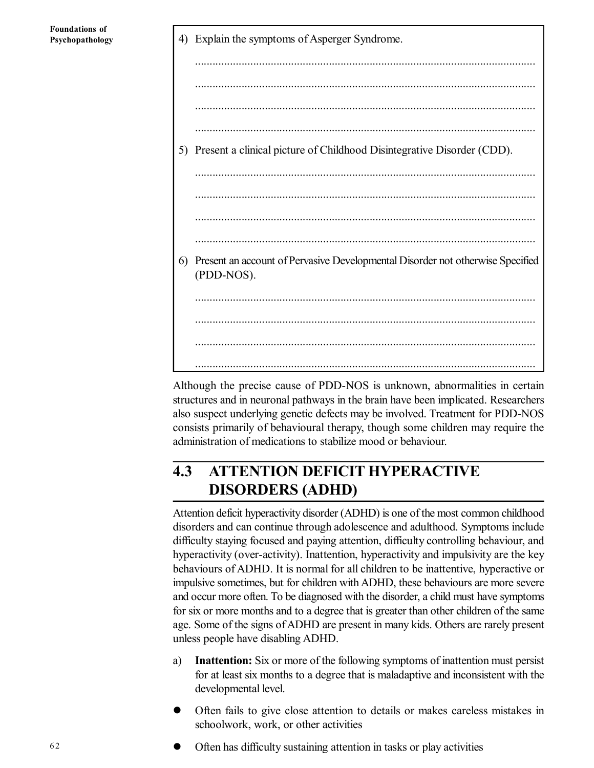4) Explain the symptoms of Asperger Syndrome. ..................................................................................................................... ..................................................................................................................... ..................................................................................................................... ..................................................................................................................... 5) Present a clinical picture of Childhood Disintegrative Disorder (CDD). ..................................................................................................................... ..................................................................................................................... ..................................................................................................................... ..................................................................................................................... 6) Present an account of Pervasive Developmental Disorder not otherwise Specified (PDD-NOS). ..................................................................................................................... ..................................................................................................................... ..................................................................................................................... .....................................................................................................................

Although the precise cause of PDD-NOS is unknown, abnormalities in certain structures and in neuronal pathways in the brain have been implicated. Researchers also suspect underlying genetic defects may be involved. Treatment for PDD-NOS consists primarily of behavioural therapy, though some children may require the administration of medications to stabilize mood or behaviour.

## **4.3 ATTENTION DEFICIT HYPERACTIVE DISORDERS (ADHD)**

Attention deficit hyperactivity disorder (ADHD) is one of the most common childhood disorders and can continue through adolescence and adulthood. Symptoms include difficulty staying focused and paying attention, difficulty controlling behaviour, and hyperactivity (over-activity). Inattention, hyperactivity and impulsivity are the key behaviours of ADHD. It is normal for all children to be inattentive, hyperactive or impulsive sometimes, but for children with ADHD, these behaviours are more severe and occur more often. To be diagnosed with the disorder, a child must have symptoms for six or more months and to a degree that is greater than other children of the same age. Some of the signs of ADHD are present in many kids. Others are rarely present unless people have disabling ADHD.

- a) **Inattention:** Six or more of the following symptoms of inattention must persist for at least six months to a degree that is maladaptive and inconsistent with the developmental level.
- Often fails to give close attention to details or makes careless mistakes in schoolwork, work, or other activities
- Often has difficulty sustaining attention in tasks or play activities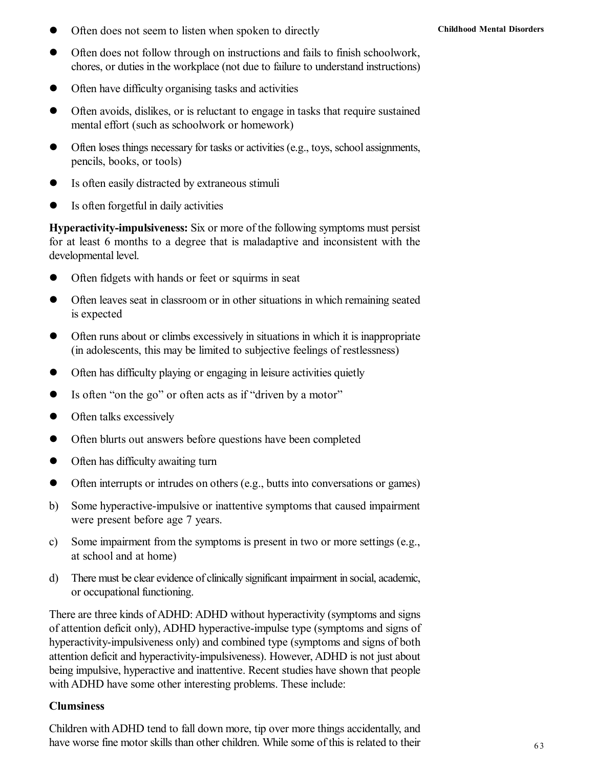Often does not seem to listen when spoken to directly

- Often does not follow through on instructions and fails to finish schoolwork, chores, or duties in the workplace (not due to failure to understand instructions)
- Often have difficulty organising tasks and activities
- Often avoids, dislikes, or is reluctant to engage in tasks that require sustained mental effort (such as schoolwork or homework)
- Often loses things necessary for tasks or activities (e.g., toys, school assignments, pencils, books, or tools)
- Is often easily distracted by extraneous stimuli
- Is often forgetful in daily activities

**Hyperactivity-impulsiveness:** Six or more of the following symptoms must persist for at least 6 months to a degree that is maladaptive and inconsistent with the developmental level.

- Often fidgets with hands or feet or squirms in seat
- Often leaves seat in classroom or in other situations in which remaining seated is expected
- Often runs about or climbs excessively in situations in which it is inappropriate (in adolescents, this may be limited to subjective feelings of restlessness)
- Often has difficulty playing or engaging in leisure activities quietly
- Is often "on the go" or often acts as if "driven by a motor"
- $\bullet$  Often talks excessively
- $\bullet$  Often blurts out answers before questions have been completed
- Often has difficulty awaiting turn
- Often interrupts or intrudes on others (e.g., butts into conversations or games)
- b) Some hyperactive-impulsive or inattentive symptoms that caused impairment were present before age 7 years.
- c) Some impairment from the symptoms is present in two or more settings (e.g., at school and at home)
- d) There must be clear evidence of clinically significant impairment in social, academic, or occupational functioning.

There are three kinds of ADHD: ADHD without hyperactivity (symptoms and signs of attention deficit only), ADHD hyperactive-impulse type (symptoms and signs of hyperactivity-impulsiveness only) and combined type (symptoms and signs of both attention deficit and hyperactivity-impulsiveness). However, ADHD is not just about being impulsive, hyperactive and inattentive. Recent studies have shown that people with ADHD have some other interesting problems. These include:

#### **Clumsiness**

Children with ADHD tend to fall down more, tip over more things accidentally, and have worse fine motor skills than other children. While some of this is related to their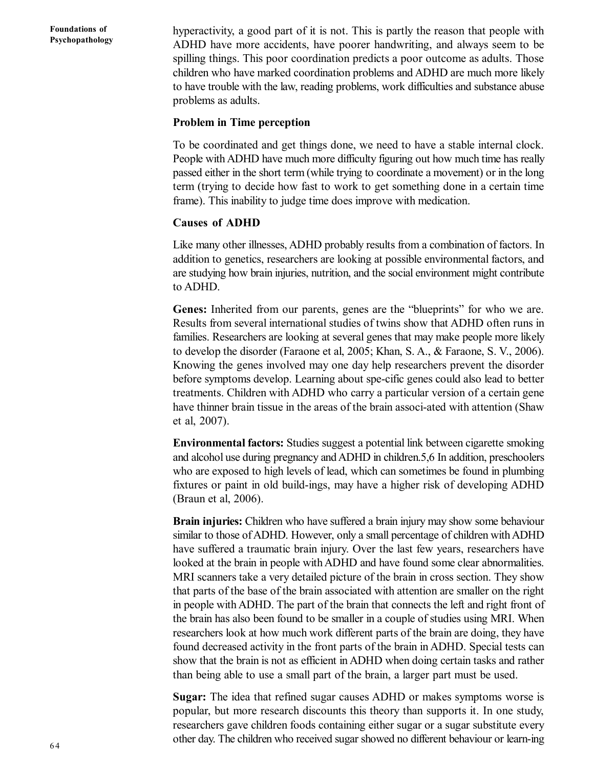hyperactivity, a good part of it is not. This is partly the reason that people with ADHD have more accidents, have poorer handwriting, and always seem to be spilling things. This poor coordination predicts a poor outcome as adults. Those children who have marked coordination problems and ADHD are much more likely to have trouble with the law, reading problems, work difficulties and substance abuse problems as adults.

#### **Problem in Time perception**

To be coordinated and get things done, we need to have a stable internal clock. People with ADHD have much more difficulty figuring out how much time has really passed either in the short term (while trying to coordinate a movement) or in the long term (trying to decide how fast to work to get something done in a certain time frame). This inability to judge time does improve with medication.

#### **Causes of ADHD**

Like many other illnesses, ADHD probably results from a combination of factors. In addition to genetics, researchers are looking at possible environmental factors, and are studying how brain injuries, nutrition, and the social environment might contribute to ADHD.

**Genes:** Inherited from our parents, genes are the "blueprints" for who we are. Results from several international studies of twins show that ADHD often runs in families. Researchers are looking at several genes that may make people more likely to develop the disorder (Faraone et al, 2005; Khan, S. A., & Faraone, S. V., 2006). Knowing the genes involved may one day help researchers prevent the disorder before symptoms develop. Learning about specific genes could also lead to better treatments. Children with ADHD who carry a particular version of a certain gene have thinner brain tissue in the areas of the brain associated with attention (Shaw et al, 2007).

**Environmental factors:** Studies suggest a potential link between cigarette smoking and alcohol use during pregnancy and ADHD in children.5,6 In addition, preschoolers who are exposed to high levels of lead, which can sometimes be found in plumbing fixtures or paint in old build-ings, may have a higher risk of developing ADHD (Braun et al, 2006).

**Brain injuries:** Children who have suffered a brain injury may show some behaviour similar to those of ADHD. However, only a small percentage of children with ADHD have suffered a traumatic brain injury. Over the last few years, researchers have looked at the brain in people with ADHD and have found some clear abnormalities. MRI scanners take a very detailed picture of the brain in cross section. They show that parts of the base of the brain associated with attention are smaller on the right in people with ADHD. The part of the brain that connects the left and right front of the brain has also been found to be smaller in a couple of studies using MRI. When researchers look at how much work different parts of the brain are doing, they have found decreased activity in the front parts of the brain in ADHD. Special tests can show that the brain is not as efficient in ADHD when doing certain tasks and rather than being able to use a small part of the brain, a larger part must be used.

**Sugar:** The idea that refined sugar causes ADHD or makes symptoms worse is popular, but more research discounts this theory than supports it. In one study, researchers gave children foods containing either sugar or a sugar substitute every other day. The children who received sugar showed no different behaviour or learning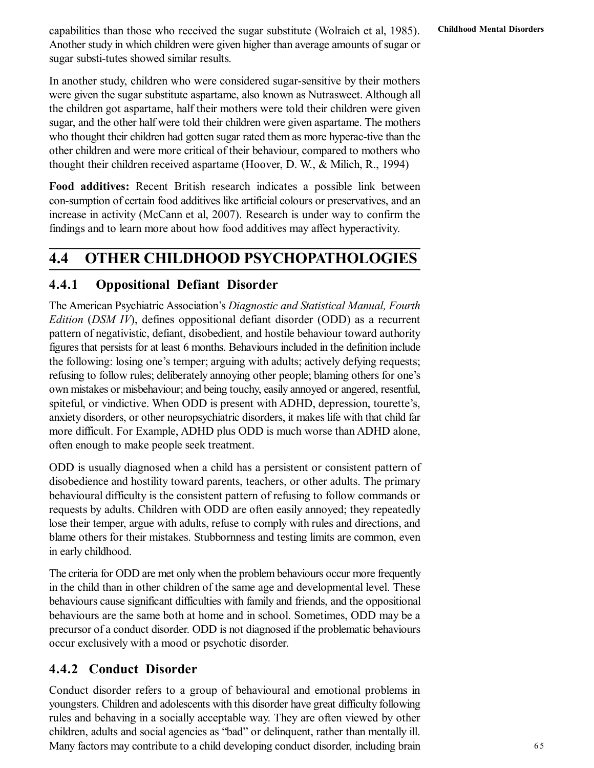capabilities than those who received the sugar substitute (Wolraich et al, 1985). Another study in which children were given higher than average amounts of sugar or sugar substi-tutes showed similar results.

In another study, children who were considered sugar-sensitive by their mothers were given the sugar substitute aspartame, also known as Nutrasweet. Although all the children got aspartame, half their mothers were told their children were given sugar, and the other half were told their children were given aspartame. The mothers who thought their children had gotten sugar rated them as more hyperac-tive than the other children and were more critical of their behaviour, compared to mothers who thought their children received aspartame (Hoover, D. W., & Milich, R., 1994)

**Food additives:** Recent British research indicates a possible link between con-sumption of certain food additives like artificial colours or preservatives, and an increase in activity (McCann et al, 2007). Research is under way to confirm the findings and to learn more about how food additives may affect hyperactivity.

## **4.4 OTHER CHILDHOOD PSYCHOPATHOLOGIES**

### **4.4.1 Oppositional Defiant Disorder**

The American Psychiatric Association's *Diagnostic and Statistical Manual, Fourth Edition* (*DSM IV*), defines oppositional defiant disorder (ODD) as a recurrent pattern of negativistic, defiant, disobedient, and hostile behaviour toward authority figures that persists for at least 6 months. Behaviours included in the definition include the following: losing one's temper; arguing with adults; actively defying requests; refusing to follow rules; deliberately annoying other people; blaming others for one's own mistakes or misbehaviour; and being touchy, easily annoyed or angered, resentful, spiteful, or vindictive. When ODD is present with ADHD, depression, tourette's, anxiety disorders, or other neuropsychiatric disorders, it makes life with that child far more difficult. For Example, ADHD plus ODD is much worse than ADHD alone, often enough to make people seek treatment.

ODD is usually diagnosed when a child has a persistent or consistent pattern of disobedience and hostility toward parents, teachers, or other adults. The primary behavioural difficulty is the consistent pattern of refusing to follow commands or requests by adults. Children with ODD are often easily annoyed; they repeatedly lose their temper, argue with adults, refuse to comply with rules and directions, and blame others for their mistakes. Stubbornness and testing limits are common, even in early childhood.

The criteria for ODD are met only when the problem behaviours occur more frequently in the child than in other children of the same age and developmental level. These behaviours cause significant difficulties with family and friends, and the oppositional behaviours are the same both at home and in school. Sometimes, ODD may be a precursor of a conduct disorder. ODD is not diagnosed if the problematic behaviours occur exclusively with a mood or psychotic disorder.

### **4.4.2 Conduct Disorder**

Conduct disorder refers to a group of behavioural and emotional problems in youngsters. Children and adolescents with this disorder have great difficulty following rules and behaving in a socially acceptable way. They are often viewed by other children, adults and social agencies as "bad" or delinquent, rather than mentally ill. Many factors may contribute to a child developing conduct disorder, including brain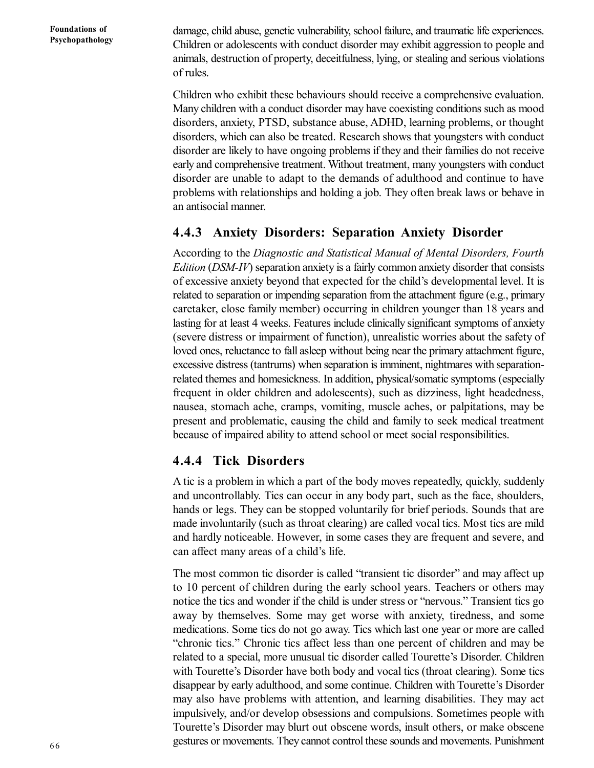damage, child abuse, genetic vulnerability, school failure, and traumatic life experiences. Children or adolescents with conduct disorder may exhibit aggression to people and animals, destruction of property, deceitfulness, lying, or stealing and serious violations of rules.

Children who exhibit these behaviours should receive a comprehensive evaluation. Many children with a conduct disorder may have coexisting conditions such as mood disorders, anxiety, PTSD, substance abuse, ADHD, learning problems, or thought disorders, which can also be treated. Research shows that youngsters with conduct disorder are likely to have ongoing problems if they and their families do not receive early and comprehensive treatment. Without treatment, many youngsters with conduct disorder are unable to adapt to the demands of adulthood and continue to have problems with relationships and holding a job. They often break laws or behave in an antisocial manner.

#### **4.4.3 Anxiety Disorders: Separation Anxiety Disorder**

According to the *Diagnostic and Statistical Manual of Mental Disorders, Fourth Edition* (*DSM-IV*) separation anxiety is a fairly common anxiety disorder that consists of excessive anxiety beyond that expected for the child's developmental level. It is related to separation or impending separation from the attachment figure (e.g., primary caretaker, close family member) occurring in children younger than 18 years and lasting for at least 4 weeks. Features include clinically significant symptoms of anxiety (severe distress or impairment of function), unrealistic worries about the safety of loved ones, reluctance to fall asleep without being near the primary attachment figure, excessive distress (tantrums) when separation is imminent, nightmares with separationrelated themes and homesickness. In addition, physical/somatic symptoms (especially frequent in older children and adolescents), such as dizziness, light headedness, nausea, stomach ache, cramps, vomiting, muscle aches, or palpitations, may be present and problematic, causing the child and family to seek medical treatment because of impaired ability to attend school or meet social responsibilities.

### **4.4.4 Tick Disorders**

A tic is a problem in which a part of the body moves repeatedly, quickly, suddenly and uncontrollably. Tics can occur in any body part, such as the face, shoulders, hands or legs. They can be stopped voluntarily for brief periods. Sounds that are made involuntarily (such as throat clearing) are called vocal tics. Most tics are mild and hardly noticeable. However, in some cases they are frequent and severe, and can affect many areas of a child's life.

The most common tic disorder is called "transient tic disorder" and may affect up to 10 percent of children during the early school years. Teachers or others may notice the tics and wonder if the child is under stress or "nervous." Transient tics go away by themselves. Some may get worse with anxiety, tiredness, and some medications. Some tics do not go away. Tics which last one year or more are called "chronic tics." Chronic tics affect less than one percent of children and may be related to a special, more unusual tic disorder called Tourette's Disorder. Children with Tourette's Disorder have both body and vocal tics (throat clearing). Some tics disappear by early adulthood, and some continue. Children with Tourette's Disorder may also have problems with attention, and learning disabilities. They may act impulsively, and/or develop obsessions and compulsions. Sometimes people with Tourette's Disorder may blurt out obscene words, insult others, or make obscene gestures or movements. They cannot control these sounds and movements. Punishment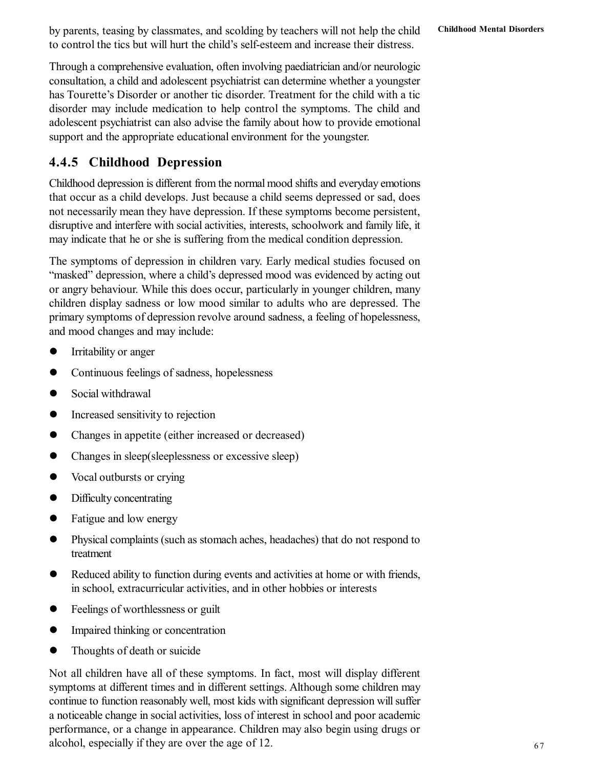by parents, teasing by classmates, and scolding by teachers will not help the child to control the tics but will hurt the child's self-esteem and increase their distress.

Through a comprehensive evaluation, often involving paediatrician and/or neurologic consultation, a child and adolescent psychiatrist can determine whether a youngster has Tourette's Disorder or another tic disorder. Treatment for the child with a tic disorder may include medication to help control the symptoms. The child and adolescent psychiatrist can also advise the family about how to provide emotional support and the appropriate educational environment for the youngster.

## **4.4.5 Childhood Depression**

Childhood depression is different from the normal mood shifts and everyday emotions that occur as a child develops. Just because a child seems depressed or sad, does not necessarily mean they have depression. If these symptoms become persistent, disruptive and interfere with social activities, interests, schoolwork and family life, it may indicate that he or she is suffering from the medical condition depression.

The symptoms of depression in children vary. Early medical studies focused on "masked" depression, where a child's depressed mood was evidenced by acting out or angry behaviour. While this does occur, particularly in younger children, many children display sadness or low mood similar to adults who are depressed. The primary symptoms of depression revolve around sadness, a feeling of hopelessness, and mood changes and may include:

- Irritability or anger
- Continuous feelings of sadness, hopelessness
- Social withdrawal
- Increased sensitivity to rejection
- Changes in appetite (either increased or decreased)
- Changes in sleep(sleeplessness or excessive sleep)
- Vocal outbursts or crying
- Difficulty concentrating
- Fatigue and low energy
- Physical complaints (such as stomach aches, headaches) that do not respond to treatment
- Reduced ability to function during events and activities at home or with friends, in school, extracurricular activities, and in other hobbies or interests
- Feelings of worthlessness or guilt
- Impaired thinking or concentration
- Thoughts of death or suicide

Not all children have all of these symptoms. In fact, most will display different symptoms at different times and in different settings. Although some children may continue to function reasonably well, most kids with significant depression will suffer a noticeable change in social activities, loss of interest in school and poor academic performance, or a change in appearance. Children may also begin using drugs or alcohol, especially if they are over the age of 12.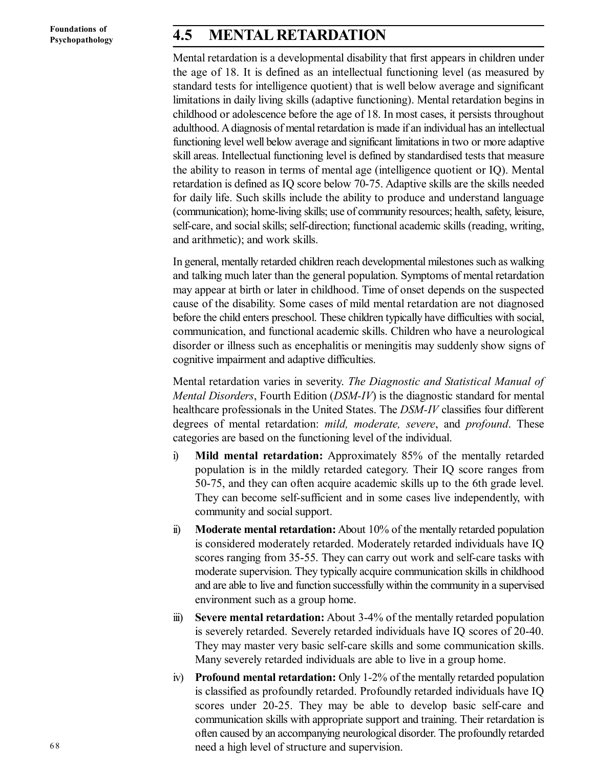**Foundations of Psychopathology**

## **4.5 MENTAL RETARDATION**

Mental retardation is a developmental disability that first appears in children under the age of 18. It is defined as an intellectual functioning level (as measured by standard tests for intelligence quotient) that is well below average and significant limitations in daily living skills (adaptive functioning). Mental retardation begins in childhood or adolescence before the age of 18. In most cases, it persists throughout adulthood. A diagnosis of mental retardation is made if an individual has an intellectual functioning level well below average and significant limitations in two or more adaptive skill areas. Intellectual functioning level is defined by standardised tests that measure the ability to reason in terms of mental age (intelligence quotient or IQ). Mental retardation is defined as IQ score below 70-75. Adaptive skills are the skills needed for daily life. Such skills include the ability to produce and understand language (communication); home-living skills; use of community resources; health, safety, leisure, self-care, and social skills; self-direction; functional academic skills (reading, writing, and arithmetic); and work skills.

In general, mentally retarded children reach developmental milestones such as walking and talking much later than the general population. Symptoms of mental retardation may appear at birth or later in childhood. Time of onset depends on the suspected cause of the disability. Some cases of mild mental retardation are not diagnosed before the child enters preschool. These children typically have difficulties with social, communication, and functional academic skills. Children who have a neurological disorder or illness such as encephalitis or meningitis may suddenly show signs of cognitive impairment and adaptive difficulties.

Mental retardation varies in severity. *The Diagnostic and Statistical Manual of Mental Disorders*, Fourth Edition (*DSM-IV*) is the diagnostic standard for mental healthcare professionals in the United States. The *DSM-IV* classifies four different degrees of mental retardation: *mild, moderate, severe*, and *profound*. These categories are based on the functioning level of the individual.

- i) **Mild mental retardation:** Approximately 85% of the mentally retarded population is in the mildly retarded category. Their IQ score ranges from 50-75, and they can often acquire academic skills up to the 6th grade level. They can become self-sufficient and in some cases live independently, with community and social support.
- ii) **Moderate mental retardation:** About 10% of the mentally retarded population is considered moderately retarded. Moderately retarded individuals have IQ scores ranging from 35-55. They can carry out work and self-care tasks with moderate supervision. They typically acquire communication skills in childhood and are able to live and function successfully within the community in a supervised environment such as a group home.
- iii) **Severe mental retardation:** About 3-4% of the mentally retarded population is severely retarded. Severely retarded individuals have IQ scores of 20-40. They may master very basic self-care skills and some communication skills. Many severely retarded individuals are able to live in a group home.
- iv) **Profound mental retardation:** Only 1-2% of the mentally retarded population is classified as profoundly retarded. Profoundly retarded individuals have IQ scores under 20-25. They may be able to develop basic self-care and communication skills with appropriate support and training. Their retardation is often caused by an accompanying neurological disorder. The profoundly retarded need a high level of structure and supervision.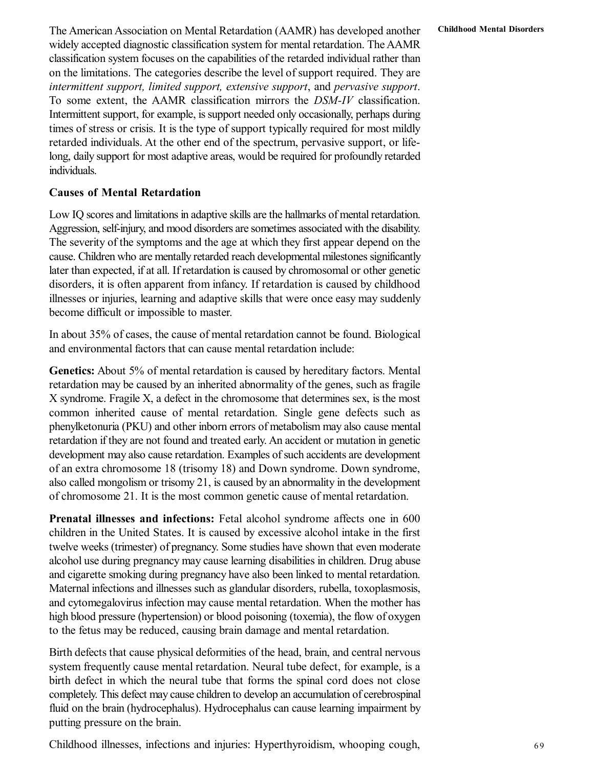The American Association on Mental Retardation (AAMR) has developed another widely accepted diagnostic classification system for mental retardation. The AAMR classification system focuses on the capabilities of the retarded individual rather than on the limitations. The categories describe the level of support required. They are *intermittent support, limited support, extensive support*, and *pervasive support*. To some extent, the AAMR classification mirrors the *DSM-IV* classification. Intermittent support, for example, is support needed only occasionally, perhaps during times of stress or crisis. It is the type of support typically required for most mildly retarded individuals. At the other end of the spectrum, pervasive support, or lifelong, daily support for most adaptive areas, would be required for profoundly retarded individuals.

#### **Causes of Mental Retardation**

Low IQ scores and limitations in adaptive skills are the hallmarks of mental retardation. Aggression, self-injury, and mood disorders are sometimes associated with the disability. The severity of the symptoms and the age at which they first appear depend on the cause. Children who are mentally retarded reach developmental milestones significantly later than expected, if at all. If retardation is caused by chromosomal or other genetic disorders, it is often apparent from infancy. If retardation is caused by childhood illnesses or injuries, learning and adaptive skills that were once easy may suddenly become difficult or impossible to master.

In about 35% of cases, the cause of mental retardation cannot be found. Biological and environmental factors that can cause mental retardation include:

**Genetics:** About 5% of mental retardation is caused by hereditary factors. Mental retardation may be caused by an inherited abnormality of the genes, such as fragile X syndrome. Fragile X, a defect in the chromosome that determines sex, is the most common inherited cause of mental retardation. Single gene defects such as phenylketonuria (PKU) and other inborn errors of metabolism may also cause mental retardation if they are not found and treated early. An accident or mutation in genetic development may also cause retardation. Examples of such accidents are development of an extra chromosome 18 (trisomy 18) and Down syndrome. Down syndrome, also called mongolism or trisomy 21, is caused by an abnormality in the development of chromosome 21. It is the most common genetic cause of mental retardation.

**Prenatal illnesses and infections:** Fetal alcohol syndrome affects one in 600 children in the United States. It is caused by excessive alcohol intake in the first twelve weeks (trimester) of pregnancy. Some studies have shown that even moderate alcohol use during pregnancy may cause learning disabilities in children. Drug abuse and cigarette smoking during pregnancy have also been linked to mental retardation. Maternal infections and illnesses such as glandular disorders, rubella, toxoplasmosis, and cytomegalovirus infection may cause mental retardation. When the mother has high blood pressure (hypertension) or blood poisoning (toxemia), the flow of oxygen to the fetus may be reduced, causing brain damage and mental retardation.

Birth defects that cause physical deformities of the head, brain, and central nervous system frequently cause mental retardation. Neural tube defect, for example, is a birth defect in which the neural tube that forms the spinal cord does not close completely. This defect may cause children to develop an accumulation of cerebrospinal fluid on the brain (hydrocephalus). Hydrocephalus can cause learning impairment by putting pressure on the brain.

Childhood illnesses, infections and injuries: Hyperthyroidism, whooping cough,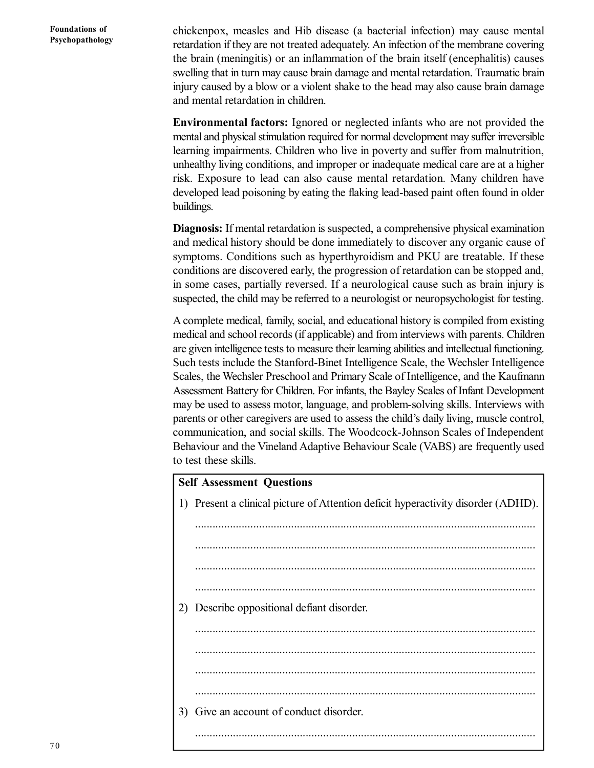chickenpox, measles and Hib disease (a bacterial infection) may cause mental retardation if they are not treated adequately. An infection of the membrane covering the brain (meningitis) or an inflammation of the brain itself (encephalitis) causes swelling that in turn may cause brain damage and mental retardation. Traumatic brain injury caused by a blow or a violent shake to the head may also cause brain damage and mental retardation in children.

**Environmental factors:** Ignored or neglected infants who are not provided the mental and physical stimulation required for normal development may suffer irreversible learning impairments. Children who live in poverty and suffer from malnutrition, unhealthy living conditions, and improper or inadequate medical care are at a higher risk. Exposure to lead can also cause mental retardation. Many children have developed lead poisoning by eating the flaking lead-based paint often found in older buildings.

**Diagnosis:** If mental retardation is suspected, a comprehensive physical examination and medical history should be done immediately to discover any organic cause of symptoms. Conditions such as hyperthyroidism and PKU are treatable. If these conditions are discovered early, the progression of retardation can be stopped and, in some cases, partially reversed. If a neurological cause such as brain injury is suspected, the child may be referred to a neurologist or neuropsychologist for testing.

A complete medical, family, social, and educational history is compiled from existing medical and school records (if applicable) and from interviews with parents. Children are given intelligence tests to measure their learning abilities and intellectual functioning. Such tests include the Stanford-Binet Intelligence Scale, the Wechsler Intelligence Scales, the Wechsler Preschool and Primary Scale of Intelligence, and the Kaufmann Assessment Battery for Children. For infants, the Bayley Scales of Infant Development may be used to assess motor, language, and problem-solving skills. Interviews with parents or other caregivers are used to assess the child's daily living, muscle control, communication, and social skills. The Woodcock-Johnson Scales of Independent Behaviour and the Vineland Adaptive Behaviour Scale (VABS) are frequently used to test these skills.

#### **Self Assessment Questions**

1) Present a clinical picture of Attention deficit hyperactivity disorder (ADHD).

| 2) Describe oppositional defiant disorder. |
|--------------------------------------------|
|                                            |
|                                            |
|                                            |
|                                            |
|                                            |
|                                            |
|                                            |
|                                            |
|                                            |
| 3) Give an account of conduct disorder.    |
|                                            |
|                                            |
|                                            |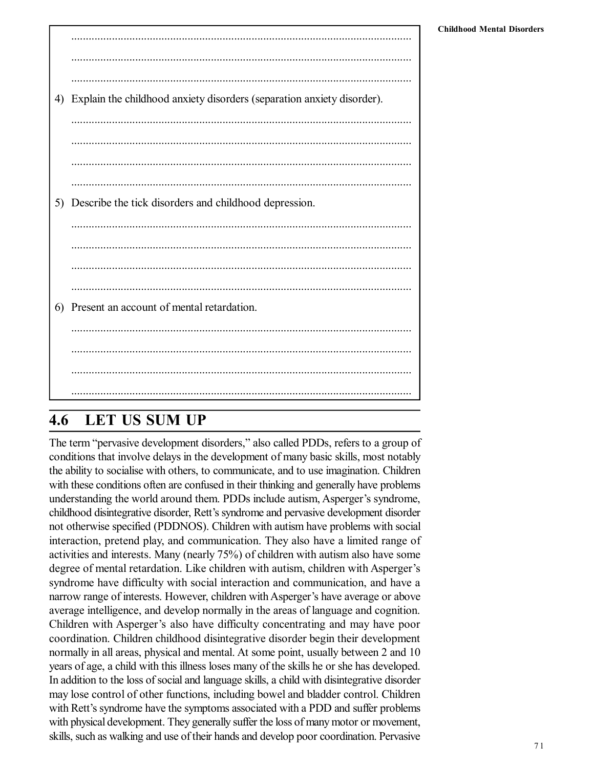..................................................................................................................... ..................................................................................................................... ..................................................................................................................... 4) Explain the childhood anxiety disorders (separation anxiety disorder). ..................................................................................................................... ..................................................................................................................... ..................................................................................................................... ..................................................................................................................... 5) Describe the tick disorders and childhood depression. ..................................................................................................................... ..................................................................................................................... ..................................................................................................................... 6) Present an account of mental retardation. ..................................................................................................................... ..................................................................................................................... ..................................................................................................................... .....................................................................................................................

# **4.6 LET US SUM UP**

The term "pervasive development disorders," also called PDDs, refers to a group of conditions that involve delays in the development of many basic skills, most notably the ability to socialise with others, to communicate, and to use imagination. Children with these conditions often are confused in their thinking and generally have problems understanding the world around them. PDDs include autism, Asperger's syndrome, childhood disintegrative disorder, Rett's syndrome and pervasive development disorder not otherwise specified (PDDNOS). Children with autism have problems with social interaction, pretend play, and communication. They also have a limited range of activities and interests. Many (nearly 75%) of children with autism also have some degree of mental retardation. Like children with autism, children with Asperger's syndrome have difficulty with social interaction and communication, and have a narrow range of interests. However, children with Asperger's have average or above average intelligence, and develop normally in the areas of language and cognition. Children with Asperger's also have difficulty concentrating and may have poor coordination. Children childhood disintegrative disorder begin their development normally in all areas, physical and mental. At some point, usually between 2 and 10 years of age, a child with this illness loses many of the skills he or she has developed. In addition to the loss of social and language skills, a child with disintegrative disorder may lose control of other functions, including bowel and bladder control. Children with Rett's syndrome have the symptoms associated with a PDD and suffer problems with physical development. They generally suffer the loss of many motor or movement, skills, such as walking and use of their hands and develop poor coordination. Pervasive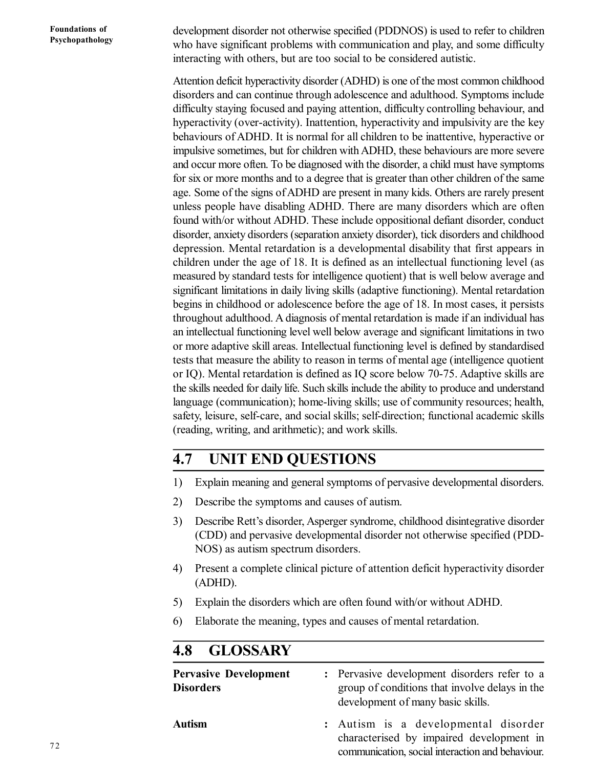development disorder not otherwise specified (PDDNOS) is used to refer to children who have significant problems with communication and play, and some difficulty interacting with others, but are too social to be considered autistic.

Attention deficit hyperactivity disorder (ADHD) is one of the most common childhood disorders and can continue through adolescence and adulthood. Symptoms include difficulty staying focused and paying attention, difficulty controlling behaviour, and hyperactivity (over-activity). Inattention, hyperactivity and impulsivity are the key behaviours of ADHD. It is normal for all children to be inattentive, hyperactive or impulsive sometimes, but for children with ADHD, these behaviours are more severe and occur more often. To be diagnosed with the disorder, a child must have symptoms for six or more months and to a degree that is greater than other children of the same age. Some of the signs of ADHD are present in many kids. Others are rarely present unless people have disabling ADHD. There are many disorders which are often found with/or without ADHD. These include oppositional defiant disorder, conduct disorder, anxiety disorders (separation anxiety disorder), tick disorders and childhood depression. Mental retardation is a developmental disability that first appears in children under the age of 18. It is defined as an intellectual functioning level (as measured by standard tests for intelligence quotient) that is well below average and significant limitations in daily living skills (adaptive functioning). Mental retardation begins in childhood or adolescence before the age of 18. In most cases, it persists throughout adulthood. A diagnosis of mental retardation is made if an individual has an intellectual functioning level well below average and significant limitations in two or more adaptive skill areas. Intellectual functioning level is defined by standardised tests that measure the ability to reason in terms of mental age (intelligence quotient or IQ). Mental retardation is defined as IQ score below 70-75. Adaptive skills are the skills needed for daily life. Such skills include the ability to produce and understand language (communication); home-living skills; use of community resources; health, safety, leisure, self-care, and social skills; self-direction; functional academic skills (reading, writing, and arithmetic); and work skills.

## **4.7 UNIT END QUESTIONS**

- 1) Explain meaning and general symptoms of pervasive developmental disorders.
- 2) Describe the symptoms and causes of autism.
- 3) Describe Rett's disorder, Asperger syndrome, childhood disintegrative disorder (CDD) and pervasive developmental disorder not otherwise specified (PDD-NOS) as autism spectrum disorders.
- 4) Present a complete clinical picture of attention deficit hyperactivity disorder (ADHD).
- 5) Explain the disorders which are often found with/or without ADHD.
- 6) Elaborate the meaning, types and causes of mental retardation.

## **4.8 GLOSSARY**

| <b>Pervasive Development</b><br><b>Disorders</b> | : Pervasive development disorders refer to a<br>group of conditions that involve delays in the<br>development of many basic skills.  |
|--------------------------------------------------|--------------------------------------------------------------------------------------------------------------------------------------|
| Autism                                           | : Autism is a developmental disorder<br>characterised by impaired development in<br>communication, social interaction and behaviour. |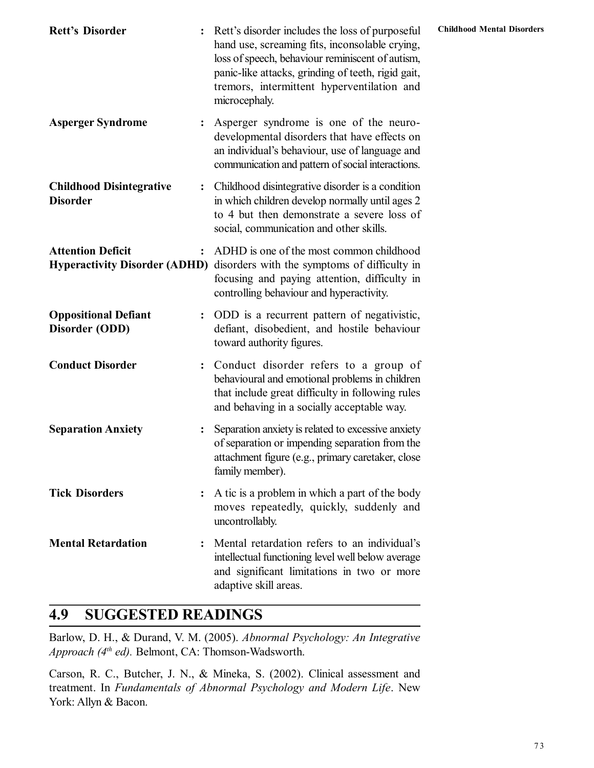| <b>Rett's Disorder</b>                                           | $\ddot{\cdot}$ | Rett's disorder includes the loss of purposeful<br>hand use, screaming fits, inconsolable crying,<br>loss of speech, behaviour reminiscent of autism,<br>panic-like attacks, grinding of teeth, rigid gait,<br>tremors, intermittent hyperventilation and<br>microcephaly. |
|------------------------------------------------------------------|----------------|----------------------------------------------------------------------------------------------------------------------------------------------------------------------------------------------------------------------------------------------------------------------------|
| <b>Asperger Syndrome</b>                                         |                | Asperger syndrome is one of the neuro-<br>developmental disorders that have effects on<br>an individual's behaviour, use of language and<br>communication and pattern of social interactions.                                                                              |
| <b>Childhood Disintegrative</b><br><b>Disorder</b>               |                | Childhood disintegrative disorder is a condition<br>in which children develop normally until ages 2<br>to 4 but then demonstrate a severe loss of<br>social, communication and other skills.                                                                               |
| <b>Attention Deficit</b><br><b>Hyperactivity Disorder (ADHD)</b> |                | ADHD is one of the most common childhood<br>disorders with the symptoms of difficulty in<br>focusing and paying attention, difficulty in<br>controlling behaviour and hyperactivity.                                                                                       |
| <b>Oppositional Defiant</b><br>Disorder (ODD)                    |                | ODD is a recurrent pattern of negativistic,<br>defiant, disobedient, and hostile behaviour<br>toward authority figures.                                                                                                                                                    |
| <b>Conduct Disorder</b>                                          | $\ddot{\cdot}$ | Conduct disorder refers to a group of<br>behavioural and emotional problems in children<br>that include great difficulty in following rules<br>and behaving in a socially acceptable way.                                                                                  |
| <b>Separation Anxiety</b>                                        | $\ddot{\cdot}$ | Separation anxiety is related to excessive anxiety<br>of separation or impending separation from the<br>attachment figure (e.g., primary caretaker, close<br>family member).                                                                                               |
| <b>Tick Disorders</b>                                            | $\ddot{\cdot}$ | A tic is a problem in which a part of the body<br>moves repeatedly, quickly, suddenly and<br>uncontrollably.                                                                                                                                                               |
| <b>Mental Retardation</b>                                        |                | Mental retardation refers to an individual's<br>intellectual functioning level well below average<br>and significant limitations in two or more<br>adaptive skill areas.                                                                                                   |

## **4.9 SUGGESTED READINGS**

Barlow, D. H., & Durand, V. M. (2005). *Abnormal Psychology: An Integrative Approach (4th ed).* Belmont, CA: Thomson-Wadsworth.

Carson, R. C., Butcher, J. N., & Mineka, S. (2002). Clinical assessment and treatment. In *Fundamentals of Abnormal Psychology and Modern Life*. New York: Allyn & Bacon.